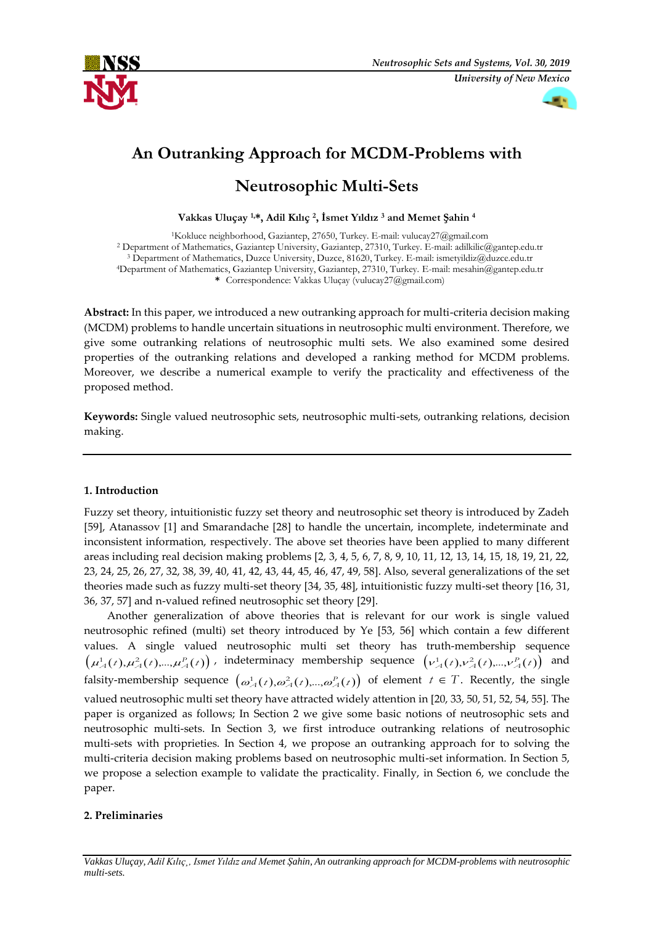



# **An Outranking Approach for MCDM-Problems with**

# **Neutrosophic Multi-Sets**

**Vakkas Uluçay 1,\*, Adil Kılıç <sup>2</sup> , İsmet Yıldız <sup>3</sup> and Memet Şahin <sup>4</sup>**

Kokluce neighborhood, Gaziantep, 27650, Turkey. E-mail: vulucay27@gmail.com Department of Mathematics, Gaziantep University, Gaziantep, 27310, Turkey. E-mail: adilkilic@gantep.edu.tr Department of Mathematics, Duzce University, Duzce, 81620, Turkey. E-mail: ismetyildiz@duzce.edu.tr Department of Mathematics, Gaziantep University, Gaziantep, 27310, Turkey. E-mail: mesahin@gantep.edu.tr **\*** Correspondence: Vakkas Uluçay (vulucay27@gmail.com)

**Abstract:** In this paper, we introduced a new outranking approach for multi-criteria decision making (MCDM) problems to handle uncertain situations in neutrosophic multi environment. Therefore, we give some outranking relations of neutrosophic multi sets. We also examined some desired properties of the outranking relations and developed a ranking method for MCDM problems. Moreover, we describe a numerical example to verify the practicality and effectiveness of the proposed method.

**Keywords:** Single valued neutrosophic sets, neutrosophic multi-sets, outranking relations, decision making.

# **1. Introduction**

Fuzzy set theory, intuitionistic fuzzy set theory and neutrosophic set theory is introduced by Zadeh [59], Atanassov [1] and Smarandache [28] to handle the uncertain, incomplete, indeterminate and inconsistent information, respectively. The above set theories have been applied to many different areas including real decision making problems [2, 3, 4, 5, 6, 7, 8, 9, 10, 11, 12, 13, 14, 15, 18, 19, 21, 22, 23, 24, 25, 26, 27, 32, 38, 39, 40, 41, 42, 43, 44, 45, 46, 47, 49, 58]. Also, several generalizations of the set theories made such as fuzzy multi-set theory [34, 35, 48], intuitionistic fuzzy multi-set theory [16, 31, 36, 37, 57] and n-valued refined neutrosophic set theory [29].

Another generalization of above theories that is relevant for our work is single valued neutrosophic refined (multi) set theory introduced by Ye [53, 56] which contain a few different values. A single valued neutrosophic multi set theory has truth-membership sequence  $(\mu^1_A(t),\mu^2_A(t),...,\mu^p_A(t))$ , indeterminacy membership sequence  $(\nu^1_A(t),\nu^2_A(t),...,\nu^p_A(t))$  and falsity-membership sequence  $(\omega_A^1(t), \omega_A^2(t), ..., \omega_A^P(t))$  of element  $t \in T$ . Recently, the single valued neutrosophic multi set theory have attracted widely attention in [20, 33, 50, 51, 52, 54, 55]. The paper is organized as follows; In Section 2 we give some basic notions of neutrosophic sets and neutrosophic multi-sets. In Section 3, we first introduce outranking relations of neutrosophic multi-sets with proprieties. In Section 4, we propose an outranking approach for to solving the multi-criteria decision making problems based on neutrosophic multi-set information. In Section 5, we propose a selection example to validate the practicality. Finally, in Section 6, we conclude the paper.

# **2. Preliminaries**

*Vakkas Uluçay, Adil Kılıç¸, Ismet Yıldız and Memet Şahin, An outranking approach for MCDM-problems with neutrosophic multi-sets.*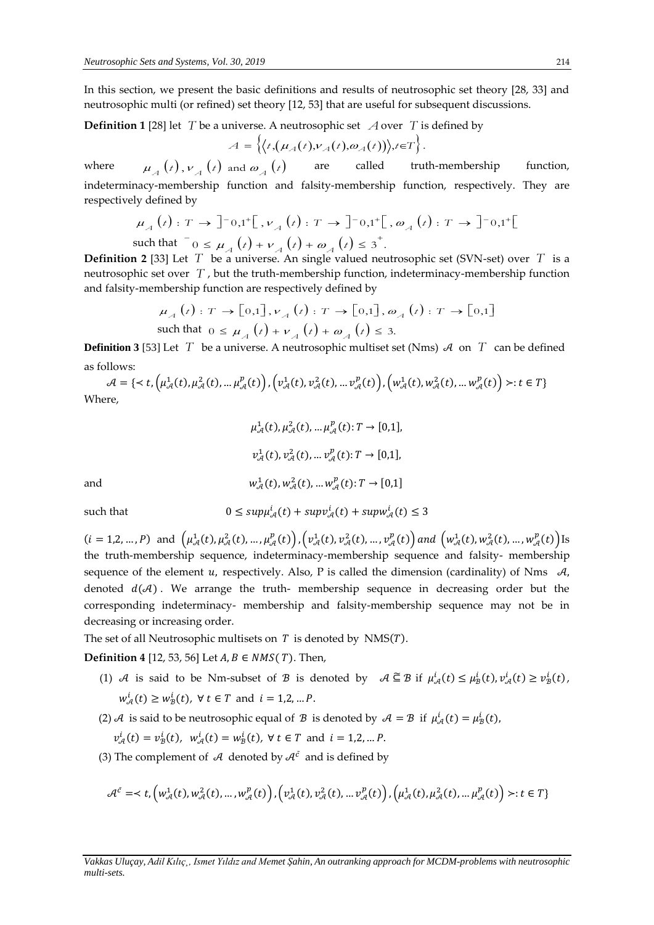In this section, we present the basic definitions and results of neutrosophic set theory [28, 33] and neutrosophic multi (or refined) set theory [12, 53] that are useful for subsequent discussions.

 $\bf{Definition 1}$  [28] let  $\ T$  be a universe. A neutrosophic set  $\ A$  over  $\ T$  is defined by

$$
\mathcal{A} = \left\{ \left\langle t, \left( \mu_A(t), v_A(t), \omega_A(t) \right) \right\rangle, t \in T \right\}.
$$

where  $\mu_A(t)$ ,  $\nu_A(t)$  and  $\omega_A(t)$ are called truth-membership function, indeterminacy-membership function and falsity-membership function, respectively. They are respectively defined by  $\mu_A(t) : T \to \int_0^1 0, 1^+ \left[ \int_0^1 r \right]_A(t) : T \to \int_0^1 0, 1^+ \left[ \int_0^1 r \right]_A(t) = \int_0^1 (1 - \int_0^1 r \cdot \frac{1}{t} \cdot \frac{1}{$ respectively defined by

$$
\mu_A(t): T \to \left]^{-0,1^+} \left[ \left[ \nu_A(t): T \to \right]^{-0,1^+} \right[ \left[ \omega_A(t): T \to \right]^{-0,1^+} \left[ \left[ \omega_A(t): T \to \right]^{-0,1^+} \right]
$$
  
such that  $\left[0 \le \mu_A(t) + \nu_A(t) + \omega_A(t) \le 3^+ \right]$ .

**Definition 2** [33] Let  $T$  be a universe. An single valued neutrosophic set (SVN-set) over  $T$  is a neutrosophic set over *T* , but the truth-membership function, indeterminacy-membership function and falsity-membership function are respectively defined by

$$
\mu_A(t) : T \to [0,1], \nu_A(t) : T \to [0,1], \omega_A(t) : T \to [0,1]
$$
  
such that  $0 \le \mu_A(t) + \nu_A(t) + \omega_A(t) \le 3$ .

**Definition 3** [53] Let  $T$  be a universe. A neutrosophic multiset set (Nms)  $\mathcal{A}$  on  $T$  can be defined as follows:

 $\mathcal{A}=\{\prec t, \left(\mu^1_{\mathcal{A}}(t), \mu^2_{\mathcal{A}}(t),... \mu^p_{\mathcal{A}}(t)\right), \left(\nu^1_{\mathcal{A}}(t), \nu^2_{\mathcal{A}}(t),... \nu^p_{\mathcal{A}}(t)\right), \left(w^1_{\mathcal{A}}(t), w^2_{\mathcal{A}}(t),... w^p_{\mathcal{A}}(t)\right)\succ : t\in T\}$ Where,

$$
\mu_{\mathcal{A}}^1(t), \mu_{\mathcal{A}}^2(t), ..., \mu_{\mathcal{A}}^p(t): T \to [0,1],
$$
  

$$
\nu_{\mathcal{A}}^1(t), \nu_{\mathcal{A}}^2(t), ..., \nu_{\mathcal{A}}^p(t): T \to [0,1],
$$
  
and  

$$
w_{\mathcal{A}}^1(t), w_{\mathcal{A}}^2(t), ..., w_{\mathcal{A}}^p(t): T \to [0,1]
$$

such that

$$
0 \le \sup \mu_{\mathcal{A}}^i(t) + \sup \nu_{\mathcal{A}}^i(t) + \sup \nu_{\mathcal{A}}^i(t) \le 3
$$

 $(i = 1, 2, ..., P)$  and  $(\mu^1_{\mathcal{A}}(t), \mu^2_{\mathcal{A}}(t), ..., \mu^p_{\mathcal{A}}(t)), (\nu^1_{\mathcal{A}}(t), \nu^2_{\mathcal{A}}(t), ..., \nu^p_{\mathcal{A}}(t))$  and  $(\omega^1_{\mathcal{A}}(t), \omega^2_{\mathcal{A}}(t), ..., \omega^p_{\mathcal{A}}(t))$  Is the truth-membership sequence, indeterminacy-membership sequence and falsity- membership sequence of the element u, respectively. Also, P is called the dimension (cardinality) of Nms  $\mathcal{A}$ , denoted  $d(\mathcal{A})$ . We arrange the truth- membership sequence in decreasing order but the corresponding indeterminacy- membership and falsity-membership sequence may not be in decreasing or increasing order.

The set of all Neutrosophic multisets on  $T$  is denoted by NMS( $T$ ).

**Definition 4** [12, 53, 56] Let  $A, B$  ∈  $NMS(T)$ . Then,

- (1) A is said to be Nm-subset of B is denoted by  $A \subseteq B$  if  $\mu^i_{\mathcal{A}}(t) \leq \mu^i_{\mathcal{B}}(t), \nu^i_{\mathcal{A}}(t) \geq \nu^i_{\mathcal{B}}(t)$ ,  $w_{\mathcal{A}}^{i}(t) \geq w_{\mathcal{B}}^{i}(t)$ ,  $\forall$   $t \in T$  and  $i = 1, 2, ... P$ .
- (2) A is said to be neutrosophic equal of  $B$  is denoted by  $A = B$  if  $\mu^i_A(t) = \mu^i_B(t)$ ,

$$
v_{\mathcal{A}}^{i}(t) = v_{\mathcal{B}}^{i}(t), w_{\mathcal{A}}^{i}(t) = w_{\mathcal{B}}^{i}(t), \forall t \in T \text{ and } i = 1, 2, ... P.
$$

(3) The complement of  $\mathcal A$  denoted by  $\mathcal A^{\tilde c}$  and is defined by

$$
\mathcal{A}^{\tilde{c}} = : t \in T\}
$$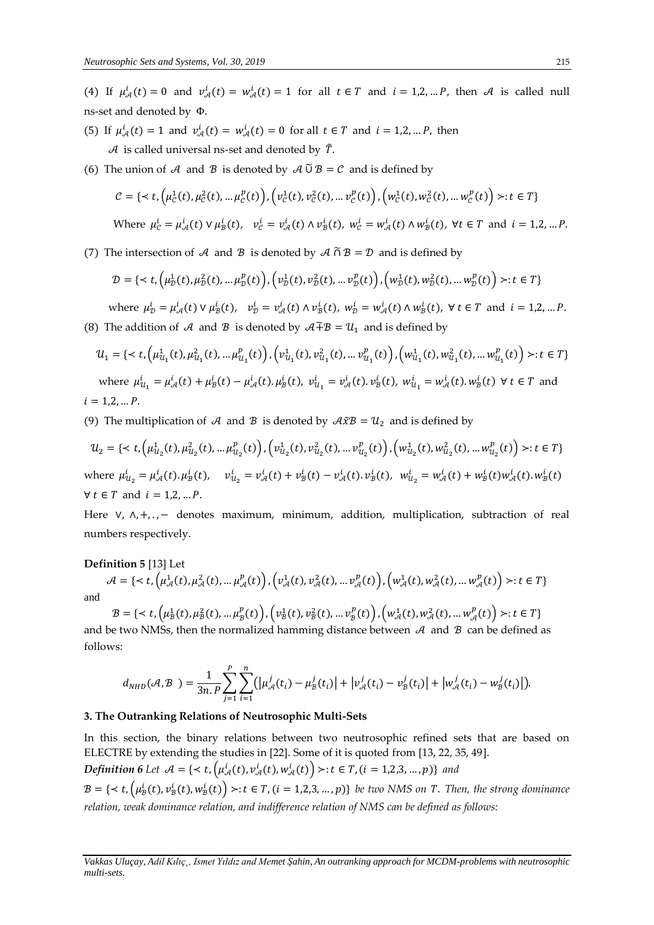(4) If  $\mu_{\mathcal{A}}^i(t) = 0$  and  $\nu_{\mathcal{A}}^i(t) = w_{\mathcal{A}}^i(t) = 1$  for all  $t \in T$  and  $i = 1, 2, ..., P$ , then A is called null ns-set and denoted by Φ.

- (5) If  $\mu_{\mathcal{A}}^i(t) = 1$  and  $v_{\mathcal{A}}^i(t) = w_{\mathcal{A}}^i(t) = 0$  for all  $t \in T$  and  $i = 1, 2, ..., P$ , then  $\mathcal A$  is called universal ns-set and denoted by  $\tilde T$ .
- (6) The union of A and B is denoted by  $A \tilde{U} B = C$  and is defined by

$$
\mathcal{C} = \{ \langle t, \left( \mu_{\mathcal{C}}^1(t), \mu_{\mathcal{C}}^2(t), \dots, \mu_{\mathcal{C}}^p(t) \right), \left( v_{\mathcal{C}}^1(t), v_{\mathcal{C}}^2(t), \dots, v_{\mathcal{C}}^p(t) \right), \left( w_{\mathcal{C}}^1(t), w_{\mathcal{C}}^2(t), \dots, w_{\mathcal{C}}^p(t) \right) \rangle : t \in T \}
$$
\nWhere

\n
$$
\mu_{\mathcal{C}}^i = \mu_{\mathcal{A}}^i(t) \vee \mu_{\mathcal{B}}^i(t), \quad v_{\mathcal{C}}^i = v_{\mathcal{A}}^i(t) \wedge v_{\mathcal{B}}^i(t), \quad w_{\mathcal{C}}^i = w_{\mathcal{A}}^i(t) \wedge w_{\mathcal{B}}^i(t), \quad \forall t \in T \text{ and } i = 1, 2, \dots, P.
$$

(7) The intersection of A and B is denoted by  $A \cap B = D$  and is defined by

$$
\mathcal{D} = \{ \langle t, \left( \mu_{\mathcal{D}}^1(t), \mu_{\mathcal{D}}^2(t), \dots, \mu_{\mathcal{D}}^p(t) \right), \left( v_{\mathcal{D}}^1(t), v_{\mathcal{D}}^2(t), \dots, v_{\mathcal{D}}^p(t) \right), \left( w_{\mathcal{D}}^1(t), w_{\mathcal{D}}^2(t), \dots, w_{\mathcal{D}}^p(t) \right) \rangle : t \in T \}
$$

where  $\mu_D^i = \mu_{\mathcal{A}}^i(t) \vee \mu_B^i(t)$ ,  $v_D^i = v_{\mathcal{A}}^i(t) \wedge v_B^i(t)$ ,  $w_D^i = w_{\mathcal{A}}^i(t) \wedge w_B^i(t)$ ,  $\forall t \in T$  and  $i = 1, 2, ... P$ . (8) The addition of A and B is denoted by  $A \tilde{+} B = U_1$  and is defined by

$$
\mathcal{U}_1 = \{ \langle t, \left( \mu_{\mathcal{U}_1}^1(t), \mu_{\mathcal{U}_1}^2(t), \dots, \mu_{\mathcal{U}_1}^p(t) \right), \left( v_{\mathcal{U}_1}^1(t), v_{\mathcal{U}_1}^2(t), \dots, v_{\mathcal{U}_1}^p(t) \right), \left( w_{\mathcal{U}_1}^1(t), w_{\mathcal{U}_1}^2(t), \dots, w_{\mathcal{U}_1}^p(t) \right) \rangle : t \in T \}
$$
\nwhere 
$$
\mu_{\mathcal{U}_1}^i = \mu_{\mathcal{A}}^i(t) + \mu_{\mathcal{B}}^i(t) - \mu_{\mathcal{A}}^i(t) \cdot \mu_{\mathcal{B}}^i(t), \quad v_{\mathcal{U}_1}^i = v_{\mathcal{A}}^i(t) \cdot v_{\mathcal{B}}^i(t), \quad w_{\mathcal{U}_1}^i = w_{\mathcal{A}}^i(t) \cdot w_{\mathcal{B}}^i(t) \quad \forall \ t \in T \text{ and } i = 1, 2, \dots P.
$$

(9) The multiplication of A and B is denoted by  $A\tilde{x}B = U_2$  and is defined by

$$
\mathcal{U}_2 = \{ \langle t, \left( \mu_{u_2}^1(t), \mu_{u_2}^2(t), \dots, \mu_{u_2}^p(t) \right), \left( v_{u_2}^1(t), v_{u_2}^2(t), \dots, v_{u_2}^p(t) \right), \left( w_{u_2}^1(t), w_{u_2}^2(t), \dots, w_{u_2}^p(t) \right) \rangle : t \in T \}
$$
\nwhere  $\mu_{u_2}^i = \mu_{\mathcal{A}}^i(t) \cdot \mu_B^i(t)$ ,  $v_{u_2}^i = v_{\mathcal{A}}^i(t) + v_B^i(t) - v_{\mathcal{A}}^i(t) \cdot v_B^i(t)$ ,  $w_{u_2}^i = w_{\mathcal{A}}^i(t) + w_B^i(t) w_{\mathcal{A}}^i(t) \cdot w_B^i(t)$ \n $\forall t \in T \text{ and } i = 1, 2, \dots P.$ 

Here  $V$ ,  $\Lambda$ ,  $+$ , ., – denotes maximum, minimum, addition, multiplication, subtraction of real numbers respectively.

#### **Definition 5** [13] Let

 $\mathcal{A}=\{\prec t, \left(\mu^1_{\mathcal{A}}(t), \mu^2_{\mathcal{A}}(t),... \mu^p_{\mathcal{A}}(t)\right), \left(\nu^1_{\mathcal{A}}(t), \nu^2_{\mathcal{A}}(t),... \nu^p_{\mathcal{A}}(t)\right), \left(w^1_{\mathcal{A}}(t), w^2_{\mathcal{A}}(t),... w^p_{\mathcal{A}}(t)\right)\succ : t\in T\}$ and

 $\mathcal{B} = \{ \lt t, \left( \mu_{\mathcal{B}}^1(t), \mu_{\mathcal{B}}^2(t), ..., \mu_{\mathcal{B}}^p(t) \right), \left( v_{\mathcal{B}}^1(t), v_{\mathcal{B}}^2(t), ..., v_{\mathcal{B}}^p(t) \right), \left( w_{\mathcal{A}}^1(t), w_{\mathcal{A}}^2(t), ..., w_{\mathcal{A}}^p(t) \right) \gt : t \in T \}$ and be two NMSs, then the normalized hamming distance between  $A$  and  $B$  can be defined as follows:

$$
d_{NHD}({\mathcal A},{\mathcal B} \ ) = \frac{1}{3n.P} \sum_{j=1}^P \sum_{i=1}^n \bigl( \bigl| \mu_{{\mathcal A}}^j(t_i) - \mu_{{\mathcal B}}^j(t_i) \bigr| + \bigl| \nu_{{\mathcal A}}^j(t_i) - \nu_{{\mathcal B}}^j(t_i) \bigr| + \bigl| \w_{\mathcal A}^j(t_i) - \w_{\mathcal B}^j(t_i) \bigr| \bigr).
$$

### **3. The Outranking Relations of Neutrosophic Multi-Sets**

In this section, the binary relations between two neutrosophic refined sets that are based on ELECTRE by extending the studies in [22]. Some of it is quoted from [13, 22, 35, 49].

 $Definition 6$  Let  $\mathcal{A} = \{ : t \in T, (i = 1, 2, 3, ..., p)\}$  and

 $B=\{\prec t, \left(\mu_B^i(t), \nu_B^i(t), \omega_B^i(t)\right) \succ : t \in T, (i=1,2,3,...,p)\}$  be two NMS on T. Then, the strong dominance *relation, weak dominance relation, and indifference relation of NMS can be defined as follows:*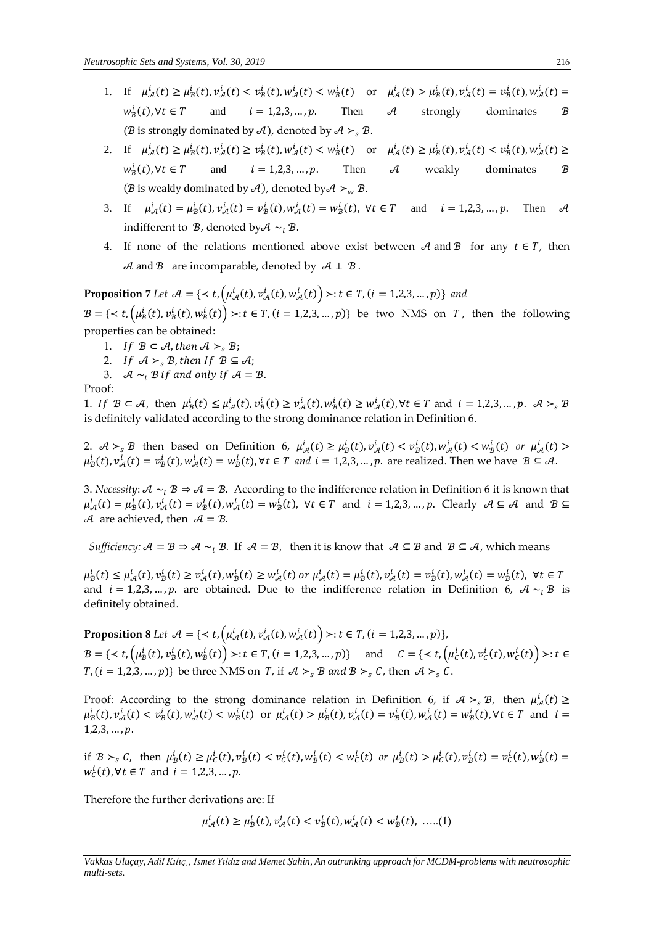- 1. If  $\mu^i_{\mathcal{A}}(t) \ge \mu^i_{\mathcal{B}}(t), \nu^i_{\mathcal{A}}(t) < \nu^i_{\mathcal{B}}(t), \nu^i_{\mathcal{A}}(t) < \nu^i_{\mathcal{B}}(t)$  or  $\mu^i_{\mathcal{A}}(t) > \mu^i_{\mathcal{B}}(t), \nu^i_{\mathcal{A}}(t) = \nu^i_{\mathcal{B}}(t), \nu^i_{\mathcal{A}}(t) =$  $w^i_{\mathcal{B}}$  $(i = 1, 2, 3, ..., p$ . Then A strongly dominates  $B$ ( $\mathcal B$  is strongly dominated by  $\mathcal A$ ), denoted by  $\mathcal A >_{s} \mathcal B$ .
- 2. If  $\mu^i_{\mathcal{A}}(t) \ge \mu^i_{\mathcal{B}}(t), \nu^i_{\mathcal{A}}(t) \ge \nu^i_{\mathcal{B}}(t), \omega^i_{\mathcal{A}}(t) < w^i_{\mathcal{B}}(t)$  or  $\mu^i_{\mathcal{A}}(t) \ge \mu^i_{\mathcal{B}}(t), \nu^i_{\mathcal{A}}(t) < \nu^i_{\mathcal{B}}(t), \omega^i_{\mathcal{A}}(t) \ge$  $w_{\mathcal{B}}^i$ and  $i = 1, 2, 3, ..., p$ . Then A weakly dominates  $\mathcal{B}$ ( $\mathcal B$  is weakly dominated by  $\mathcal A$ ), denoted by  $\mathcal A >_w \mathcal B$ .
- 3. If  $\mu_{\mathcal{A}}^i(t) = \mu_B^i(t), \nu_{\mathcal{A}}^i(t) = \nu_B^i(t), \nu_{\mathcal{A}}^i(t) = \nu_B^i(t), \forall t \in T$  and  $i = 1, 2, 3, ..., p$ . Then  $\mathcal{A}$ indifferent to  $\mathcal{B}$ , denoted by  $\mathcal{A} \sim_l \mathcal{B}$ .
- 4. If none of the relations mentioned above exist between  $\mathcal A$  and  $\mathcal B$  for any  $t \in T$ , then  $\mathcal A$  and  $\mathcal B$  are incomparable, denoted by  $\mathcal A \perp \mathcal B$ .

**Proposition** 7 Let  $\mathcal{A} = \{ \prec t, \left( \mu_{\mathcal{A}}^i(t), v_{\mathcal{A}}^i(t), w_{\mathcal{A}}^i(t) \right) \succ : t \in T, (i = 1, 2, 3, ..., p) \}$  and

 $B=\{\prec t, \left(\mu_B^i(t), \nu_B^i(t), \omega_B^i(t)\right) \succ : t \in T, (i=1,2,3,...,p)\}$  be two NMS on  $T$ , then the following properties can be obtained:

- 1. If  $B \subset \mathcal{A}$ , then  $\mathcal{A} >_{\rm s} \mathcal{B}$ ;
- 2. If  $\mathcal{A} >_{s} B$ , then If  $B \subseteq \mathcal{A}$ ;
- 3.  $\mathcal{A} \sim_l \mathcal{B}$  if and only if  $\mathcal{A} = \mathcal{B}$ .

Proof:

1. If  $B \subset A$ , then  $\mu_B^i(t) \le \mu_A^i(t), \nu_B^i(t) \ge \nu_A^i(t), \omega_B^i(t) \ge \omega_A^i(t), \forall t \in T$  and  $i = 1, 2, 3, ..., p$ .  $A >_{s} B$ is definitely validated according to the strong dominance relation in Definition 6.

2.  $\mathcal{A} >_{s} \mathcal{B}$  then based on Definition 6,  $\mu_{\mathcal{A}}^{i}(t) \geq \mu_{\mathcal{B}}^{i}(t), \nu_{\mathcal{A}}^{i}(t) < \nu_{\mathcal{B}}^{i}(t), w_{\mathcal{A}}^{i}(t) < w_{\mathcal{B}}^{i}(t)$  or  $\mu_{\mathcal{A}}^{i}(t) >$  $\mu_B^i(t)$ ,  $v^i_{\mathcal{A}}(t)=v^i_{\mathcal{B}}(t)$ ,  $w^i_{\mathcal{A}}(t)=w^i_{\mathcal{B}}(t)$ ,  $\forall t\in T$  and  $i=1,2,3,...,p.$  are realized. Then we have  $\mathcal{B}\subseteq\mathcal{A}$ .

3. *Necessity:*  $A \sim_l B \Rightarrow A = B$ . According to the indifference relation in Definition 6 it is known that  $\mu_{\mathcal{A}}^{i}(t) = \mu_{\mathcal{B}}^{i}(t), \nu_{\mathcal{A}}^{i}(t) = \nu_{\mathcal{B}}^{i}(t), \forall t \in \mathcal{T} \text{ and } i = 1, 2, 3, ..., p. \text{ Clearly } \mathcal{A} \subseteq \mathcal{A} \text{ and } \mathcal{B} \subseteq \mathcal{T} \text{ and } \mathcal{B} \subseteq \mathcal{A}$ A are achieved, then  $A = B$ .

*Sufficiency:*  $\mathcal{A} = \mathcal{B} \Rightarrow \mathcal{A} \sim_{1} \mathcal{B}$ . If  $\mathcal{A} = \mathcal{B}$ , then it is know that  $\mathcal{A} \subseteq \mathcal{B}$  and  $\mathcal{B} \subseteq \mathcal{A}$ , which means

 $\mu^i_{\mathcal{B}}(t) \leq \mu^i_{\mathcal{A}}(t), \nu^i_{\mathcal{B}}(t) \geq \nu^i_{\mathcal{A}}(t), \ w^i_{\mathcal{B}}(t) \geq w^i_{\mathcal{A}}(t) \text{ or } \mu^i_{\mathcal{A}}(t) = \mu^i_{\mathcal{B}}(t), \nu^i_{\mathcal{A}}(t) = \nu^i_{\mathcal{B}}(t), \ w^i_{\mathcal{A}}(t) = w^i_{\mathcal{B}}(t), \ \forall t \in T$ and  $i = 1,2,3,...,p$ . are obtained. Due to the indifference relation in Definition 6,  $\mathcal{A} \sim_l \mathcal{B}$  is definitely obtained.

**Proposition 8** Let  $A = \{ \langle t, \left( \mu_{\mathcal{A}}^{i}(t), v_{\mathcal{A}}^{i}(t), w_{\mathcal{A}}^{i}(t) \right) \rangle : t \in T, (i = 1, 2, 3, ..., p) \},$  $\mathcal{B} = \{ \langle t, \left( \mu_B^i(t), v_B^i(t), w_B^i(t) \right) \rangle : t \in T, (i = 1, 2, 3, ..., p) \} \quad \text{ and } \quad \mathcal{C} = \{ \langle t, \left( \mu_C^i(t), v_C^i(t), w_C^i(t) \right) \rangle : t \in T \}$  $T$ ,  $(i = 1,2,3,...,p)$ } be three NMS on T, if  $\mathcal{A} >_{s} \mathcal{B}$  and  $\mathcal{B} >_{s} \mathcal{C}$ , then  $\mathcal{A} >_{s} \mathcal{C}$ .

Proof: According to the strong dominance relation in Definition 6, if  $A >_{s} B$ , then  $\mu^{i}_{\mathcal{A}}(t) \geq$  $\mu_B^i(t)$ ,  $v_{\mathcal{A}}^i(t) < v_{\mathcal{B}}^i(t)$ ,  $w_{\mathcal{A}}^i(t) < w_{\mathcal{B}}^i(t)$  or  $\mu_{\mathcal{A}}^i(t) > \mu_{\mathcal{B}}^i(t)$ ,  $v_{\mathcal{A}}^i(t) = v_{\mathcal{B}}^i(t)$ ,  $w_{\mathcal{A}}^i(t) = w_{\mathcal{B}}^i(t)$ ,  $\forall t \in T$  and  $i =$  $1,2,3,\ldots,p.$ 

if  $B >_{s} C$ , then  $\mu_{B}^{i}(t) \geq \mu_{C}^{i}(t), \nu_{B}^{i}(t) < \nu_{C}^{i}(t), \nu_{B}^{i}(t) < \omega_{C}^{i}(t)$  or  $\mu_{B}^{i}(t) > \mu_{C}^{i}(t), \nu_{B}^{i}(t) = \nu_{C}^{i}(t), \nu_{B}^{i}(t) =$  $w_c^i(t)$ ,  $\forall t \in T$  and  $i = 1, 2, 3, ..., p$ .

Therefore the further derivations are: If

$$
\mu_{\mathcal{A}}^{i}(t) \geq \mu_{\mathcal{B}}^{i}(t), \nu_{\mathcal{A}}^{i}(t) < \nu_{\mathcal{B}}^{i}(t), \nu_{\mathcal{A}}^{i}(t) < \nu_{\mathcal{B}}^{i}(t), \dots (1)
$$

*Vakkas Uluçay, Adil Kılıç¸, Ismet Yıldız and Memet Şahin, An outranking approach for MCDM-problems with neutrosophic multi-sets.*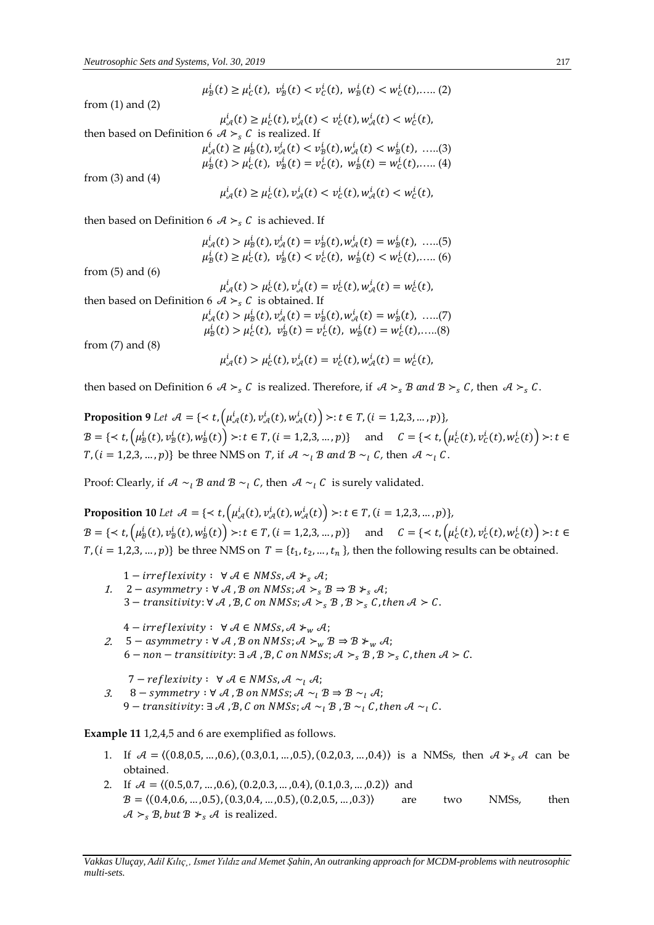$$
\mu_B^i(t) \ge \mu_C^i(t), \ v_B^i(t) < v_C^i(t), \ w_B^i(t) < w_C^i(t), \dots (2)
$$

from (1) and (2)

$$
\mu_{\mathcal{A}}^i(t) \ge \mu_{\mathcal{C}}^i(t), \nu_{\mathcal{A}}^i(t) < \nu_{\mathcal{C}}^i(t), \nu_{\mathcal{A}}^i(t) < \nu_{\mathcal{C}}^i(t),
$$

then based on Definition 6  $\mathcal{A} >_{s} C$  is realized. If

$$
\mu_{\mathcal{A}}^{i}(t) \ge \mu_{\mathcal{B}}^{i}(t), \nu_{\mathcal{A}}^{i}(t) < \nu_{\mathcal{B}}^{i}(t), \nu_{\mathcal{A}}^{i}(t) < w_{\mathcal{B}}^{i}(t), \dots (3)
$$
\n
$$
\mu_{\mathcal{B}}^{i}(t) > \mu_{\mathcal{C}}^{i}(t), \quad \nu_{\mathcal{B}}^{i}(t) = \nu_{\mathcal{C}}^{i}(t), \quad \nu_{\mathcal{B}}^{i}(t) = w_{\mathcal{C}}^{i}(t), \dots (4)
$$

from  $(3)$  and  $(4)$ 

$$
\mu_{\mathcal{A}}^{i}(t) \geq \mu_{C}^{i}(t), \nu_{\mathcal{A}}^{i}(t) < \nu_{C}^{i}(t), \nu_{\mathcal{A}}^{i}(t) < \nu_{C}^{i}(t),
$$

then based on Definition 6  $\mathcal{A} >_{s} C$  is achieved. If

$$
\mu_{\mathcal{A}}^{i}(t) > \mu_{B}^{i}(t), \nu_{\mathcal{A}}^{i}(t) = \nu_{B}^{i}(t), \nu_{\mathcal{A}}^{i}(t) = \nu_{B}^{i}(t), \dots (5)
$$
  

$$
\mu_{B}^{i}(t) \ge \mu_{C}^{i}(t), \ \nu_{B}^{i}(t) < \nu_{C}^{i}(t), \ w_{B}^{i}(t) < \nu_{C}^{i}(t), \dots (6)
$$

from (5) and (6)

$$
\mu_{\mathcal{A}}^i(t) > \mu_C^i(t), \nu_{\mathcal{A}}^i(t) = \nu_C^i(t), \omega_{\mathcal{A}}^i(t) = \omega_C^i(t),
$$

then based on Definition 6  $A > S$  is obtained. If  $\mu_{\mathcal{A}}^{i}(t) > \mu_{\mathcal{B}}^{i}(t), \nu_{\mathcal{A}}^{i}(t) = \nu_{\mathcal{B}}^{i}(t), \omega_{\mathcal{A}}^{i}(t) = \omega_{\mathcal{B}}^{i}(t), \dots (7)$  $\mu_{\mathcal{B}}^i(t) > \mu_{\mathcal{C}}^i(t), \ v_{\mathcal{B}}^i(t) = v_{\mathcal{C}}^i(t), \ w_{\mathcal{B}}^i(t) = w_{\mathcal{C}}^i(t), \dots$ (8)

from (7) and (8)

$$
\mu_{\mathcal{A}}^i(t) > \mu_{C}^i(t), \nu_{\mathcal{A}}^i(t) = \nu_{C}^i(t), \omega_{\mathcal{A}}^i(t) = \omega_{C}^i(t),
$$

then based on Definition 6  $\mathcal{A} >_{s} C$  is realized. Therefore, if  $\mathcal{A} >_{s} B$  and  $\mathcal{B} >_{s} C$ , then  $\mathcal{A} >_{s} C$ .

**Proposition 9** Let  $A = \{ \langle t, \left( \mu_{\mathcal{A}}^{i}(t), v_{\mathcal{A}}^{i}(t), w_{\mathcal{A}}^{i}(t) \right) \rangle : t \in T, (i = 1, 2, 3, ..., p) \},$  $B=\{\prec t, \left(\mu_B^i(t), \nu_B^i(t), w_B^i(t)\right) \succ : t \in T, (i=1,2,3,...,p)\} \quad \text{ and } \quad C=\{\prec t, \left(\mu_C^i(t), \nu_C^i(t), w_C^i(t)\right) \succ : t \in T, (i=1,2,3,...,p)\}$  $T$ ,  $(i = 1,2,3,..., p)$ } be three NMS on T, if  $\mathcal{A} \sim_{l} \mathcal{B}$  and  $\mathcal{B} \sim_{l} C$ , then  $\mathcal{A} \sim_{l} C$ .

Proof: Clearly, if  $\mathcal{A} \sim_l \mathcal{B}$  and  $\mathcal{B} \sim_l \mathcal{C}$ , then  $\mathcal{A} \sim_l \mathcal{C}$  is surely validated.

**Proposition 10** Let  $A = \{ \langle t, (\mu_A^i(t), v_A^i(t), w_A^i(t)) \rangle : t \in T, (i = 1, 2, 3, ..., p) \},\$  $B=\{\prec t, \left(\mu_B^i(t), \nu_B^i(t), w_B^i(t)\right) \succ : t \in T, (i=1,2,3,...,p)\} \quad \text{ and } \quad C=\{\prec t, \left(\mu_C^i(t), \nu_C^i(t), w_C^i(t)\right) \succ : t \in T, (i=1,2,3,...,p)\}$  $T$ ,  $(i = 1, 2, 3, ..., p)$  be three NMS on  $T = \{t_1, t_2, ..., t_n\}$ , then the following results can be obtained.

- 1 *irreflexivity* :  $\forall A \in NMSS, A \succ S A$ ;
- 1. 2 asymmetry :  $\forall$  A, B on NMSs;  $\mathcal{A} >_{\mathcal{S}} \mathcal{B} \Rightarrow \mathcal{B} *_{\mathcal{S}} \mathcal{A}$ ; 3 – transitivity:  $\forall$  A, B, C on NMSs;  $A >_{s} B$ , B  $>_s C$ , then  $A > C$ .

 $4 - irreflexivity: \ \forall \mathcal{A} \in NMSS, \mathcal{A} \succ w \mathcal{A};$ 

- 2.  $5 -$  asymmetry  $: \forall \mathcal{A}$  ,  $\mathcal{B}$  on NMSs;  $\mathcal{A} \succ w \mathcal{B} \Rightarrow \mathcal{B} \succ w \mathcal{A}$ ; 6 – non – transitivity:  $\exists A$ ,  $B$ ,  $C$  on NMSs;  $A >_{s} B$ ,  $B >_{s} C$ , then  $A > C$ .
- 3.  $7 - reflexivity: \ \forall \mathcal{A} \in NMSS, \mathcal{A} \sim_l \mathcal{A};$ 8 – symmetry :  $\forall$  A, B on NMSs;  $\mathcal{A} \sim_{I} \mathcal{B} \Rightarrow \mathcal{B} \sim_{I} \mathcal{A}$ ; 9 – transitivity:  $\exists A, B, C$  on NMSs;  $A \sim_1 B, B \sim_1 C$ , then  $A \sim_1 C$ .

**Example 11** 1,2,4,5 and 6 are exemplified as follows.

- 1. If  $A = \{(0.8, 0.5, ..., 0.6), (0.3, 0.1, ..., 0.5), (0.2, 0.3, ..., 0.4)\}$  is a NMSs, then  $A *_{s} A$  can be obtained.
- 2. If  $\mathcal{A} = \langle (0.5, 0.7, ..., 0.6), (0.2, 0.3, ..., 0.4), (0.1, 0.3, ..., 0.2) \rangle$  and  $B = \langle (0.4, 0.6, ..., 0.5), (0.3, 0.4, ..., 0.5), (0.2, 0.5, ..., 0.3) \rangle$  are two NMSs, then  $\mathcal{A} >_{s} \mathcal{B}$ , but  $\mathcal{B} \not\succ_{s} \mathcal{A}$  is realized.

*Vakkas Uluçay, Adil Kılıç¸, Ismet Yıldız and Memet Şahin, An outranking approach for MCDM-problems with neutrosophic multi-sets.*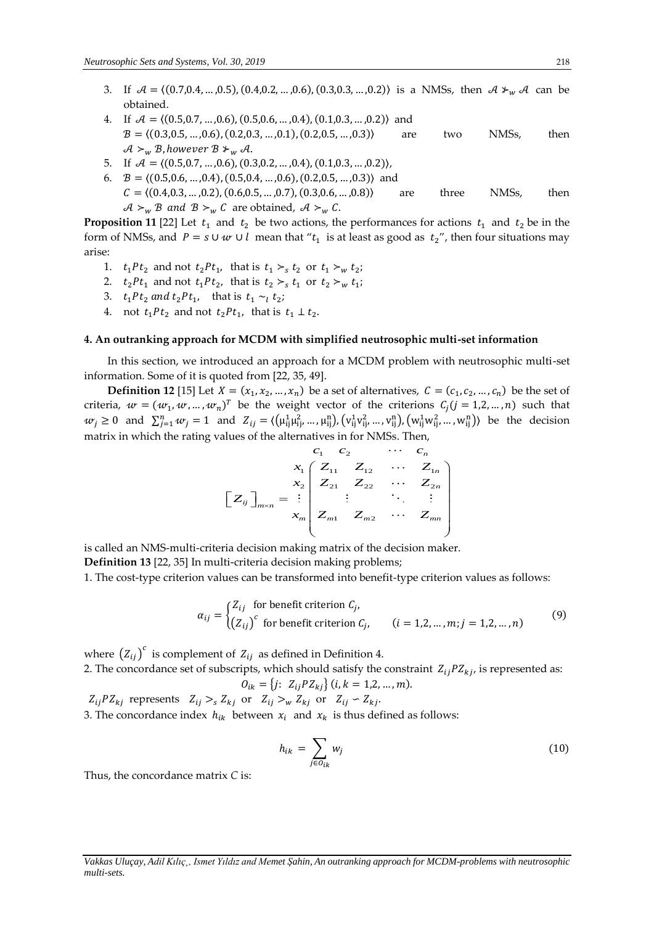- 3. If  $A = \{(0.7, 0.4, ..., 0.5), (0.4, 0.2, ..., 0.6), (0.3, 0.3, ..., 0.2)\}\$ is a NMSs, then  $A \neq_w A$  can be obtained.
- 4. If  $A = \langle (0.5, 0.7, ..., 0.6), (0.5, 0.6, ..., 0.4), (0.1, 0.3, ..., 0.2) \rangle$  and  $B = \langle (0.3, 0.5, ..., 0.6), (0.2, 0.3, ..., 0.1), (0.2, 0.5, ..., 0.3) \rangle$  are two NMSs, then  $\mathcal{A}_{\geq w} \not\supseteq_{\mathcal{B}} \text{however } \mathcal{B}_{\geq w} \mathcal{A}.$
- 5. If  $\mathcal{A} = \langle (0.5, 0.7, ..., 0.6), (0.3, 0.2, ..., 0.4), (0.1, 0.3, ..., 0.2) \rangle$ ,
- 6.  $B = \langle (0.5, 0.6, ..., 0.4), (0.5, 0.4, ..., 0.6), (0.2, 0.5, ..., 0.3) \rangle$  and  $C = \langle (0.4, 0.3, ..., 0.2), (0.6, 0.5, ..., 0.7), (0.3, 0.6, ..., 0.8) \rangle$  are three NMSs, then  $\mathcal{A}_{\vphantom{\perp}{}^{\sim}w}$   $\mathcal{B}$  and  $\mathcal{B}_{\vphantom{\perp}{}^{\sim}w}$   $C$  are obtained,  $\mathcal{A}_{\vphantom{\perp}{}^{\sim}w}$   $\mathcal{C}$ .

**Proposition 11** [22] Let  $t_1$  and  $t_2$  be two actions, the performances for actions  $t_1$  and  $t_2$  be in the form of NMSs, and  $P = s \cup w \cup l$  mean that " $t_1$  is at least as good as  $t_2$ ", then four situations may arise:

- 1.  $t_1 P t_2$  and not  $t_2 P t_1$ , that is  $t_1 >_s t_2$  or  $t_1 >_w t_2$ ;
- 2.  $t_2Pt_1$  and not  $t_1Pt_2$ , that is  $t_2 >_s t_1$  or  $t_2 >_w t_1$ ;
- 3.  $t_1 P t_2$  and  $t_2 P t_1$ , that is  $t_1 \sim_l t_2$ ;
- 4. not  $t_1 Pt_2$  and not  $t_2 Pt_1$ , that is  $t_1 \perp t_2$ .

#### **4. An outranking approach for MCDM with simplified neutrosophic multi-set information**

In this section, we introduced an approach for a MCDM problem with neutrosophic multi-set information. Some of it is quoted from [22, 35, 49].

**Definition 12** [15] Let  $X = (x_1, x_2, ..., x_n)$  be a set of alternatives,  $C = (c_1, c_2, ..., c_n)$  be the set of criteria,  $w = (w_1, w, ..., w_n)^T$  be the weight vector of the criterions  $C_j$  ( $j = 1, 2, ..., n$ ) such that  $w_j \ge 0$  and  $\sum_{j=1}^n w_j = 1$  and  $Z_{ij} = \langle ( \mu_{ij}^1 \mu_{ij}^2, ..., \mu_{ij}^n ), ( v_{ij}^1 v_{ij}^2, ..., v_{ij}^n ), ( w_{ij}^1 w_{ij}^2, ..., w_{ij}^n ) \rangle$  be the decision matrix in which the rating values of the alternatives in for NMSs. Then,

$$
\begin{bmatrix} z_1 & c_2 & \cdots & c_n \\ x_1 & Z_{11} & Z_{12} & \cdots & Z_{1n} \\ x_2 & Z_{21} & Z_{22} & \cdots & Z_{2n} \\ \vdots & \vdots & \ddots & \vdots & \vdots \\ x_m & Z_{m1} & Z_{m2} & \cdots & Z_{mn} \end{bmatrix}
$$

is called an NMS-multi-criteria decision making matrix of the decision maker.

**Definition 13** [22, 35] In multi-criteria decision making problems;

1. The cost-type criterion values can be transformed into benefit-type criterion values as follows:

$$
\alpha_{ij} = \begin{cases} Z_{ij} & \text{for benefit criterion } C_j, \\ \left(Z_{ij}\right)^c & \text{for benefit criterion } C_j, \end{cases} \qquad (i = 1, 2, \dots, m; j = 1, 2, \dots, n) \tag{9}
$$

where  $\left( Z_{ij}\right) ^{c}$  is complement of  $Z_{ij}$  as defined in Definition 4.

2. The concordance set of subscripts, which should satisfy the constraint  $Z_{ii}PZ_{ki}$ , is represented as:  $O_{ik} = \{j: Z_{ij} P Z_{kj}\}$  (i,  $k = 1, 2, ..., m$ ).

 $Z_{ij}PZ_{kj}$  represents  $Z_{ij} >_{s} Z_{kj}$  or  $Z_{ij} >_{w} Z_{kj}$  or  $Z_{ij} \sim Z_{kj}$ . 3. The concordance index  $h_{ik}$  between  $x_i$  and  $x_k$  is thus defined as follows:

$$
h_{ik} = \sum_{j \in O_{ik}} w_j \tag{10}
$$

Thus, the concordance matrix *C* is:

*Vakkas Uluçay, Adil Kılıç¸, Ismet Yıldız and Memet Şahin, An outranking approach for MCDM-problems with neutrosophic multi-sets.*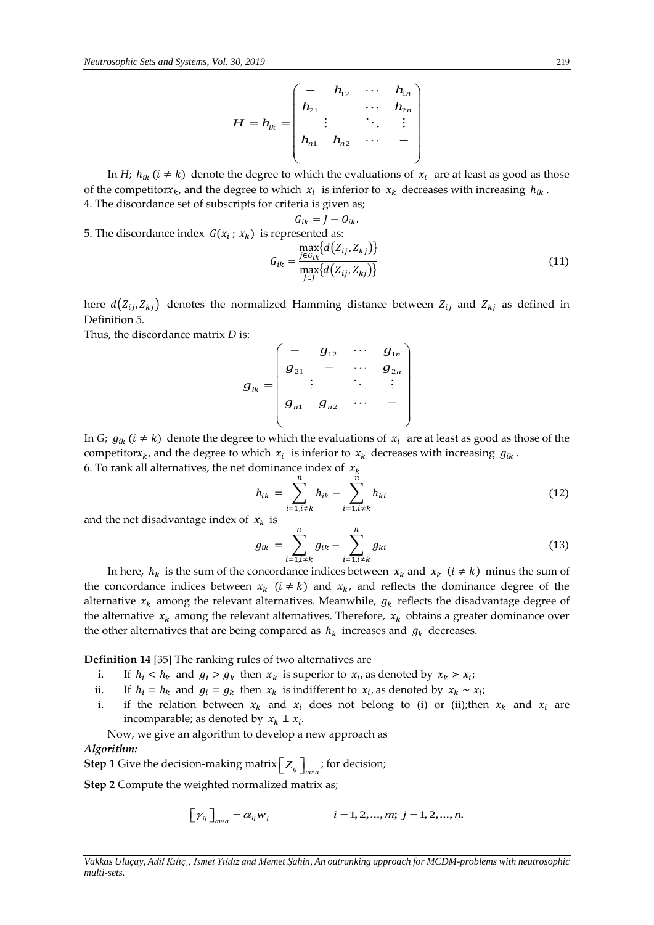$$
H = h_{ik} = \begin{pmatrix} - & h_{12} & \cdots & h_{1n} \\ h_{21} & - & \cdots & h_{2n} \\ \vdots & & \ddots & \vdots \\ h_{n1} & h_{n2} & \cdots & - \end{pmatrix}
$$

In *H*;  $h_{ik}$  ( $i \neq k$ ) denote the degree to which the evaluations of  $x_i$  are at least as good as those of the competitor $x_k$ , and the degree to which  $x_i$  is inferior to  $x_k$  decreases with increasing  $h_{ik}$ . 4. The discordance set of subscripts for criteria is given as;

5. The discordance index 
$$
G(x_i; x_k)
$$
 is represented as:

$$
G_{ik} = \frac{\max_{j \in G_{ik}} \{d(Z_{ij}, Z_{kj})\}}{\max_{j \in J} \{d(Z_{ij}, Z_{kj})\}}
$$
(11)

here  $d(Z_{ij}, Z_{kj})$  denotes the normalized Hamming distance between  $Z_{ij}$  and  $Z_{kj}$  as defined in Definition 5.

Thus, the discordance matrix *D* is:

s:  
\n
$$
g_{ik} = \begin{pmatrix}\n- & g_{12} & \cdots & g_{1n} \\
g_{21} & - & \cdots & g_{2n} \\
\vdots & & \ddots & \vdots \\
g_{n1} & g_{n2} & \cdots & -\n\end{pmatrix}
$$

In *G*;  $g_{ik}$  ( $i \neq k$ ) denote the degree to which the evaluations of  $x_i$  are at least as good as those of the competitor $x_k$ , and the degree to which  $x_i$  is inferior to  $x_k$  decreases with increasing  $g_{ik}$ .

6. To rank all alternatives, the net dominance index of  $x_k$ 

$$
h_{ik} = \sum_{i=1, i \neq k}^{n} h_{ik} - \sum_{i=1, i \neq k}^{n} h_{ki}
$$
 (12)

and the net disadvantage index of  $x_k$  is

$$
g_{ik} = \sum_{i=1, i \neq k}^{n} g_{ik} - \sum_{i=1, i \neq k}^{n} g_{ki}
$$
 (13)

In here,  $h_k$  is the sum of the concordance indices between  $x_k$  and  $x_k$   $(i \neq k)$  minus the sum of the concordance indices between  $x_k$  ( $i \neq k$ ) and  $x_k$ , and reflects the dominance degree of the alternative  $x_k$  among the relevant alternatives. Meanwhile,  $g_k$  reflects the disadvantage degree of the alternative  $x_k$  among the relevant alternatives. Therefore,  $x_k$  obtains a greater dominance over the other alternatives that are being compared as  $h_k$  increases and  $g_k$  decreases.

**Definition 14** [35] The ranking rules of two alternatives are

- i. If  $h_i < h_k$  and  $g_i > g_k$  then  $x_k$  is superior to  $x_i$ , as denoted by  $x_k > x_i$ ;
- ii. If  $h_i = h_k$  and  $g_i = g_k$  then  $x_k$  is indifferent to  $x_i$ , as denoted by  $x_k \sim x_i$ ;
- i. if the relation between  $x_k$  and  $x_i$  does not belong to (i) or (ii);then  $x_k$  and  $x_i$  are incomparable; as denoted by  $x_k \perp x_i$ .

Now, we give an algorithm to develop a new approach as

# *Algorithm:*

 $\mathsf{Step~1}$  Give the decision-making matrix  $\left[\right. Z_{ij}\right]_{m\times n}$ ; for decision;

**Step 2** Compute the weighted normalized matrix as;

$$
\left[\gamma_{ij}\right]_{m \times n} = \alpha_{ij} w_j \qquad i = 1, 2, ..., m; j = 1, 2, ..., n.
$$

*Vakkas Uluçay, Adil Kılıç¸, Ismet Yıldız and Memet Şahin, An outranking approach for MCDM-problems with neutrosophic multi-sets.*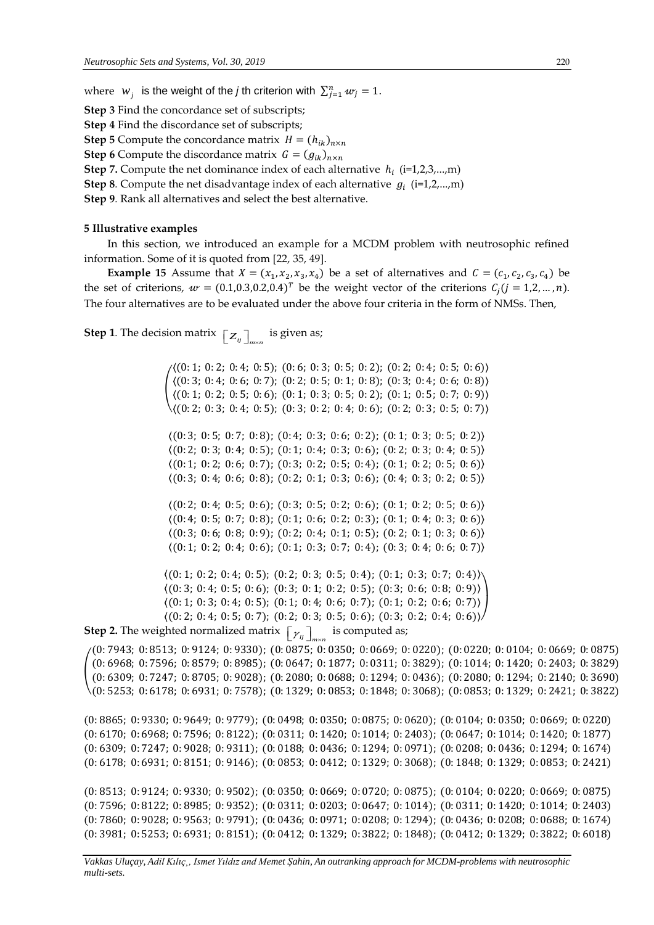where  $w_j$  is the weight of the *j* th criterion with  $\sum_{j=1}^n w_j = 1$ .

**Step 3** Find the concordance set of subscripts;

**Step 4** Find the discordance set of subscripts;

**Step 5** Compute the concordance matrix  $H = (h_{ik})_{n \times n}$ 

**Step 6** Compute the discordance matrix  $G = (g_{ik})_{n \times n}$ 

**Step 7.** Compute the net dominance index of each alternative  $h_i$  (i=1,2,3,...,m)

**Step 8**. Compute the net disadvantage index of each alternative  $g_i$  (i=1,2,...,m)

**Step 9***.* Rank all alternatives and select the best alternative.

#### **5 Illustrative examples**

In this section, we introduced an example for a MCDM problem with neutrosophic refined information. Some of it is quoted from [22, 35, 49].

**Example 15** Assume that  $X = (x_1, x_2, x_3, x_4)$  be a set of alternatives and  $C = (c_1, c_2, c_3, c_4)$  be the set of criterions,  $w = (0.1, 0.3, 0.2, 0.4)^T$  be the weight vector of the criterions  $C_j$   $(j = 1, 2, ..., n)$ . The four alternatives are to be evaluated under the above four criteria in the form of NMSs. Then,

 $\mathsf{Step~1.}$  The decision matrix  $\left[\mathcal{Z}_{ij}\right]_{m\times n}$  is given as;

( 〈(0: 1; 0: 2; 0: 5; 0: 6); (0: 1; 0: 3; 0: 5; 0: 2); (0: 1; 0: 5; 0: 7; 0: 9)〉  $\sqrt{(0:1; 0:2; 0:4; 0:5)}$ ;  $(0:6; 0:3; 0:5; 0:2)$ ;  $(0:2; 0:4; 0:5; 0:6)$  $((0: 3; 0: 4; 0: 6; 0: 7); (0: 2; 0: 5; 0: 1; 0: 8); (0: 3; 0: 4; 0: 6; 0: 8))$ 〈(0: 2; 0: 3; 0: 4; 0: 5); (0: 3; 0: 2; 0: 4; 0: 6); (0: 2; 0: 3; 0: 5; 0: 7)〉

 $\langle (0:3; 0:5; 0:7; 0:8); (0:4; 0:3; 0:6; 0:2); (0:1; 0:3; 0:5; 0:2) \rangle$  $\langle (0: 2; 0: 3; 0: 4; 0: 5); (0: 1; 0: 4; 0: 3; 0: 6); (0: 2; 0: 3; 0: 4; 0: 5) \rangle$  $\langle (0:1; 0:2; 0:6; 0:7); (0:3; 0:2; 0:5; 0:4); (0:1; 0:2; 0:5; 0:6) \rangle$  $(0: 3; 0: 4; 0: 6; 0: 8); (0: 2; 0: 1; 0: 3; 0: 6); (0: 4; 0: 3; 0: 2; 0: 5)$ 

 $(0: 2; 0: 4; 0: 5; 0: 6); (0: 3; 0: 5; 0: 2; 0: 6); (0: 1; 0: 2; 0: 5; 0: 6)$  $(0: 4; 0: 5; 0: 7; 0: 8); (0: 1; 0: 6; 0: 2; 0: 3); (0: 1; 0: 4; 0: 3; 0: 6)$  $(0: 3; 0: 6; 0: 8; 0: 9);$   $(0: 2; 0: 4; 0: 1; 0: 5);$   $(0: 2; 0: 1; 0: 3; 0: 6)$  $(0:1; 0:2; 0:4; 0:6); (0:1; 0:3; 0:7; 0:4); (0:3; 0:4; 0:6; 0:7)$ 

 $(0:1; 0:2; 0:4; 0:5);$   $(0:2; 0:3; 0:5; 0:4);$   $(0:1; 0:3; 0:7; 0:4)$  $(0: 3; 0: 4; 0: 5; 0: 6); (0: 3; 0: 1; 0: 2; 0: 5); (0: 3; 0: 6; 0: 8; 0: 9)$  $\langle (0:1; 0:3; 0:4; 0:5); (0:1; 0:4; 0:6; 0:7); (0:1; 0:2; 0:6; 0:7) \rangle$  $(0: 2; 0: 4; 0: 5; 0: 7); (0: 2; 0: 3; 0: 5; 0: 6); (0: 3; 0: 2; 0: 4; 0: 6)$  $\overline{\phantom{a}}$ 

**Step 2.** The weighted normalized matrix  $\left[\gamma_{ij}\right]_{m\times n}$  is computed as;

( (0: 7943; 0: 8513; 0: 9124; 0: 9330); (0: 0875; 0: 0350; 0: 0669; 0: 0220); (0: 0220; 0: 0104; 0: 0669; 0: 0875) (0: 6968; 0: 7596; 0: 8579; 0: 8985); (0: 0647; 0: 1877; 0: 0311; 0: 3829); (0: 1014; 0: 1420; 0: 2403; 0: 3829) (0: 6309; 0: 7247; 0: 8705; 0: 9028); (0: 2080; 0: 0688; 0: 1294; 0: 0436); (0: 2080; 0: 1294; 0: 2140; 0: 3690) (0: 5253; 0: 6178; 0: 6931; 0: 7578); (0: 1329; 0: 0853; 0: 1848; 0: 3068); (0: 0853; 0: 1329; 0: 2421; 0: 3822)

(0: 8865; 0: 9330; 0: 9649; 0: 9779); (0: 0498; 0: 0350; 0: 0875; 0: 0620); (0: 0104; 0: 0350; 0: 0669; 0: 0220) (0: 6170; 0: 6968; 0: 7596; 0: 8122); (0: 0311; 0: 1420; 0: 1014; 0: 2403); (0: 0647; 0: 1014; 0: 1420; 0: 1877) (0: 6309; 0: 7247; 0: 9028; 0: 9311); (0: 0188; 0: 0436; 0: 1294; 0: 0971); (0: 0208; 0: 0436; 0: 1294; 0: 1674) (0: 6178; 0: 6931; 0: 8151; 0: 9146); (0: 0853; 0: 0412; 0: 1329; 0: 3068); (0: 1848; 0: 1329; 0: 0853; 0: 2421)

(0: 8513; 0: 9124; 0: 9330; 0: 9502); (0: 0350; 0: 0669; 0: 0720; 0: 0875); (0: 0104; 0: 0220; 0: 0669; 0: 0875) (0: 7596; 0: 8122; 0: 8985; 0: 9352); (0: 0311; 0: 0203; 0: 0647; 0: 1014); (0: 0311; 0: 1420; 0: 1014; 0: 2403) (0: 7860; 0: 9028; 0: 9563; 0: 9791); (0: 0436; 0: 0971; 0: 0208; 0: 1294); (0: 0436; 0: 0208; 0: 0688; 0: 1674) (0: 3981; 0: 5253; 0: 6931; 0: 8151); (0: 0412; 0: 1329; 0: 3822; 0: 1848); (0: 0412; 0: 1329; 0: 3822; 0: 6018)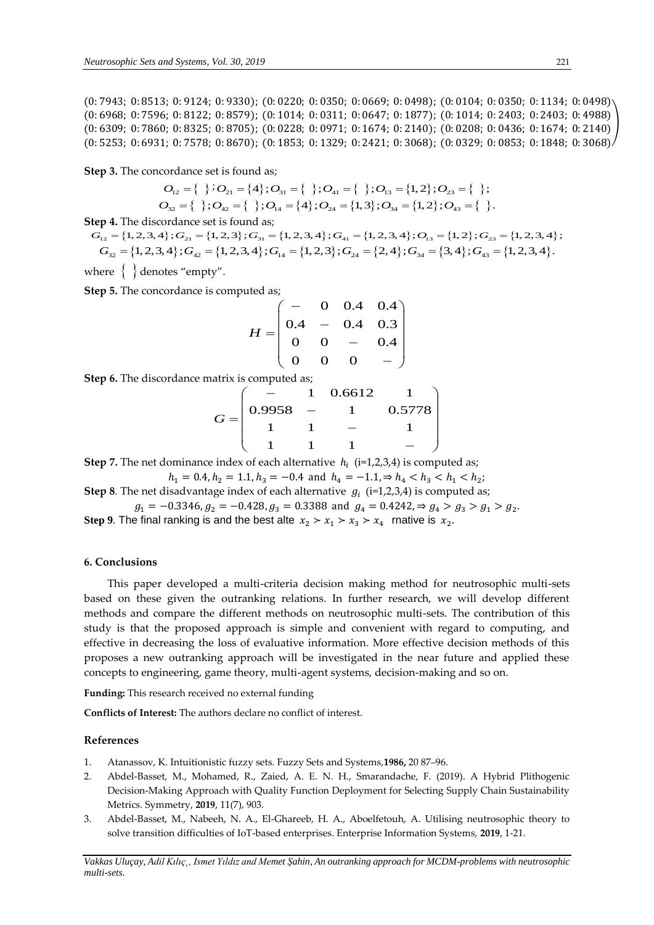(0: 7943; 0: 8513; 0: 9124; 0: 9330); (0: 0220; 0: 0350; 0: 0669; 0: 0498); (0: 0104; 0: 0350; 0: 1134; 0: 0498) (0: 6968; 0: 7596; 0: 8122; 0: 8579); (0: 1014; 0: 0311; 0: 0647; 0: 1877); (0: 1014; 0: 2403; 0: 2403; 0: 4988) (0: 6309; 0: 7860; 0: 8325; 0: 8705); (0: 0228; 0: 0971; 0: 1674; 0: 2140); (0: 0208; 0: 0436; 0: 1674; 0: 2140) (0: 5253; 0: 6931; 0: 7578; 0: 8670); (0: 1853; 0: 1329; 0: 2421; 0: 3068); (0: 0329; 0: 0853; 0: 1848; 0: 3068) )

**Step 3.** The concordance set is found as;

$$
O_{12} = \{ \begin{array}{c} \} i O_{21} = \{4\}; O_{31} = \{ \begin{array}{c} \} ; O_{41} = \{ \end{array} \}; O_{13} = \{1, 2\}; O_{23} = \{ \begin{array}{c} \} ; \\ O_{32} = \{ \end{array} \}; O_{42} = \{ \begin{array}{c} \} ; O_{14} = \{4\}; O_{24} = \{1, 3\}; O_{34} = \{1, 2\}; O_{43} = \{ \end{array} \}.
$$

**Step 4.** The discordance set is found as;

 $G_{12} = \{1, 2, 3, 4\}$ ;  $G_{21} = \{1, 2, 3\}$ ;  $G_{31} = \{1, 2, 3, 4\}$ ;  $G_{41} = \{1, 2, 3, 4\}$ ;  $O_{13} = \{1, 2\}$ ;  $G_{23} = \{1, 2, 3, 4\}$ ; *G*<sub>12</sub> = {*f f*  $G_{21}$  = {**f** *f*  $G_{31}$  = {*f f*  $G_{41}$  = {*f*, *G*<sub>14</sub> = {*f*, *G*<sub>24</sub> = {1, 2}; *O*<sub>34</sub> = {{1, 2}; *O*<sub>43</sub> = {}.<br> **p** 4. The discordance set is found as;<br>  $F_{12}$  = {1, 2, 3, 4};  $G_{21}$  = {1, 2

where  $\, \big\{\,\, \big\}$  denotes "empty".

**Step 5.** The concordance is computed as;

$$
H = \begin{pmatrix} - & 0 & 0.4 & 0.4 \\ 0.4 & - & 0.4 & 0.3 \\ 0 & 0 & - & 0.4 \\ 0 & 0 & 0 & - \end{pmatrix}
$$

**Step 6.** The discordance matrix is computed as;

$$
G = \begin{pmatrix} - & 1 & 0.6612 & 1 \\ 0.9958 & - & 1 & 0.5778 \\ 1 & 1 & - & 1 \\ 1 & 1 & 1 & - \end{pmatrix}
$$

**Step 7.** The net dominance index of each alternative  $h_i$  (i=1,2,3,4) is computed as;

$$
h_1 = 0.4, h_2 = 1.1, h_3 = -0.4
$$
 and  $h_4 = -1.1, \Rightarrow h_4 < h_3 < h_1 < h_2$ ;

**Step 8**. The net disadvantage index of each alternative  $g_i$  (i=1,2,3,4) is computed as;

 $g_1 = -0.3346, g_2 = -0.428, g_3 = 0.3388$  and  $g_4 = 0.4242, \Rightarrow g_4 > g_3 > g_1 > g_2$ .

Step 9. The final ranking is and the best alte  $x_2 > x_1 > x_3 > x_4$  rnative is  $x_2$ .

#### **6. Conclusions**

This paper developed a multi-criteria decision making method for neutrosophic multi-sets based on these given the outranking relations. In further research, we will develop different methods and compare the different methods on neutrosophic multi-sets. The contribution of this study is that the proposed approach is simple and convenient with regard to computing, and effective in decreasing the loss of evaluative information. More effective decision methods of this proposes a new outranking approach will be investigated in the near future and applied these concepts to engineering, game theory, multi-agent systems, decision-making and so on.

**Funding:** This research received no external funding

**Conflicts of Interest:** The authors declare no conflict of interest.

#### **References**

- 1. Atanassov, K. Intuitionistic fuzzy sets. Fuzzy Sets and Systems,**1986,** 20 87–96.
- 2. Abdel-Basset, M., Mohamed, R., Zaied, A. E. N. H., Smarandache, F. (2019). A Hybrid Plithogenic Decision-Making Approach with Quality Function Deployment for Selecting Supply Chain Sustainability Metrics. Symmetry, **2019**, 11(7), 903.
- 3. Abdel-Basset, M., Nabeeh, N. A., El-Ghareeb, H. A., Aboelfetouh, A. Utilising neutrosophic theory to solve transition difficulties of IoT-based enterprises. Enterprise Information Systems, **2019**, 1-21.

*Vakkas Uluçay, Adil Kılıç¸, Ismet Yıldız and Memet Şahin, An outranking approach for MCDM-problems with neutrosophic multi-sets.*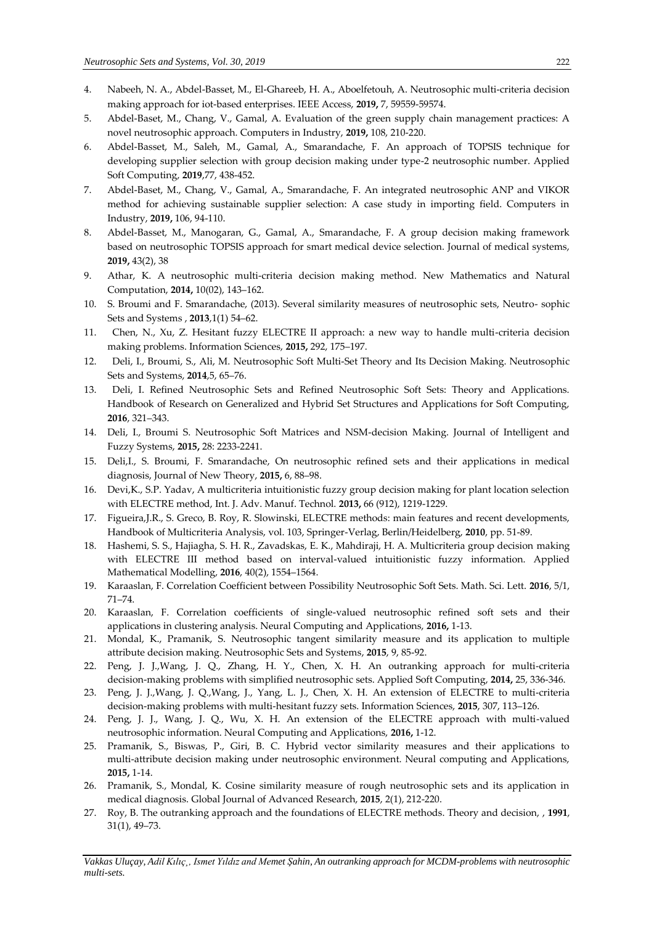- 4. Nabeeh, N. A., Abdel-Basset, M., El-Ghareeb, H. A., Aboelfetouh, A. Neutrosophic multi-criteria decision making approach for iot-based enterprises. IEEE Access, **2019,** 7, 59559-59574.
- 5. Abdel-Baset, M., Chang, V., Gamal, A. Evaluation of the green supply chain management practices: A novel neutrosophic approach. Computers in Industry, **2019,** 108, 210-220.
- 6. Abdel-Basset, M., Saleh, M., Gamal, A., Smarandache, F. An approach of TOPSIS technique for developing supplier selection with group decision making under type-2 neutrosophic number. Applied Soft Computing, **2019**,77, 438-452.
- 7. Abdel-Baset, M., Chang, V., Gamal, A., Smarandache, F. An integrated neutrosophic ANP and VIKOR method for achieving sustainable supplier selection: A case study in importing field. Computers in Industry, **2019,** 106, 94-110.
- 8. Abdel-Basset, M., Manogaran, G., Gamal, A., Smarandache, F. A group decision making framework based on neutrosophic TOPSIS approach for smart medical device selection. Journal of medical systems, **2019,** 43(2), 38
- 9. Athar, K. A neutrosophic multi-criteria decision making method. New Mathematics and Natural Computation, **2014,** 10(02), 143–162.
- 10. S. Broumi and F. Smarandache, (2013). Several similarity measures of neutrosophic sets, Neutro- sophic Sets and Systems , **2013**,1(1) 54–62.
- 11. Chen, N., Xu, Z. Hesitant fuzzy ELECTRE II approach: a new way to handle multi-criteria decision making problems. Information Sciences, **2015,** 292, 175–197.
- 12. Deli, I., Broumi, S., Ali, M. Neutrosophic Soft Multi-Set Theory and Its Decision Making. Neutrosophic Sets and Systems, **2014**,5, 65–76.
- 13. Deli, I. Refined Neutrosophic Sets and Refined Neutrosophic Soft Sets: Theory and Applications. Handbook of Research on Generalized and Hybrid Set Structures and Applications for Soft Computing, **2016**, 321–343.
- 14. Deli, I., Broumi S. Neutrosophic Soft Matrices and NSM-decision Making. Journal of Intelligent and Fuzzy Systems, **2015,** 28: 2233-2241.
- 15. Deli,I., S. Broumi, F. Smarandache, On neutrosophic refined sets and their applications in medical diagnosis, Journal of New Theory, **2015,** 6, 88–98.
- 16. Devi,K., S.P. Yadav, A multicriteria intuitionistic fuzzy group decision making for plant location selection with ELECTRE method, Int. J. Adv. Manuf. Technol. **2013,** 66 (912), 1219-1229.
- 17. Figueira,J.R., S. Greco, B. Roy, R. Slowinski, ELECTRE methods: main features and recent developments, Handbook of Multicriteria Analysis, vol. 103, Springer-Verlag, Berlin/Heidelberg, **2010**, pp. 51-89.
- 18. Hashemi, S. S., Hajiagha, S. H. R., Zavadskas, E. K., Mahdiraji, H. A. Multicriteria group decision making with ELECTRE III method based on interval-valued intuitionistic fuzzy information. Applied Mathematical Modelling, **2016**, 40(2), 1554–1564.
- 19. Karaaslan, F. Correlation Coefficient between Possibility Neutrosophic Soft Sets. Math. Sci. Lett. **2016**, 5/1, 71–74.
- 20. Karaaslan, F. Correlation coefficients of single-valued neutrosophic refined soft sets and their applications in clustering analysis. Neural Computing and Applications, **2016,** 1-13.
- 21. Mondal, K., Pramanik, S. Neutrosophic tangent similarity measure and its application to multiple attribute decision making. Neutrosophic Sets and Systems, **2015**, 9, 85-92.
- 22. Peng, J. J.,Wang, J. Q., Zhang, H. Y., Chen, X. H. An outranking approach for multi-criteria decision-making problems with simplified neutrosophic sets. Applied Soft Computing, **2014,** 25, 336-346.
- 23. Peng, J. J.,Wang, J. Q.,Wang, J., Yang, L. J., Chen, X. H. An extension of ELECTRE to multi-criteria decision-making problems with multi-hesitant fuzzy sets. Information Sciences, **2015**, 307, 113–126.
- 24. Peng, J. J., Wang, J. Q., Wu, X. H. An extension of the ELECTRE approach with multi-valued neutrosophic information. Neural Computing and Applications, **2016,** 1-12.
- 25. Pramanik, S., Biswas, P., Giri, B. C. Hybrid vector similarity measures and their applications to multi-attribute decision making under neutrosophic environment. Neural computing and Applications, **2015,** 1-14.
- 26. Pramanik, S., Mondal, K. Cosine similarity measure of rough neutrosophic sets and its application in medical diagnosis. Global Journal of Advanced Research, **2015**, 2(1), 212-220.
- 27. Roy, B. The outranking approach and the foundations of ELECTRE methods. Theory and decision, , **1991**, 31(1), 49–73.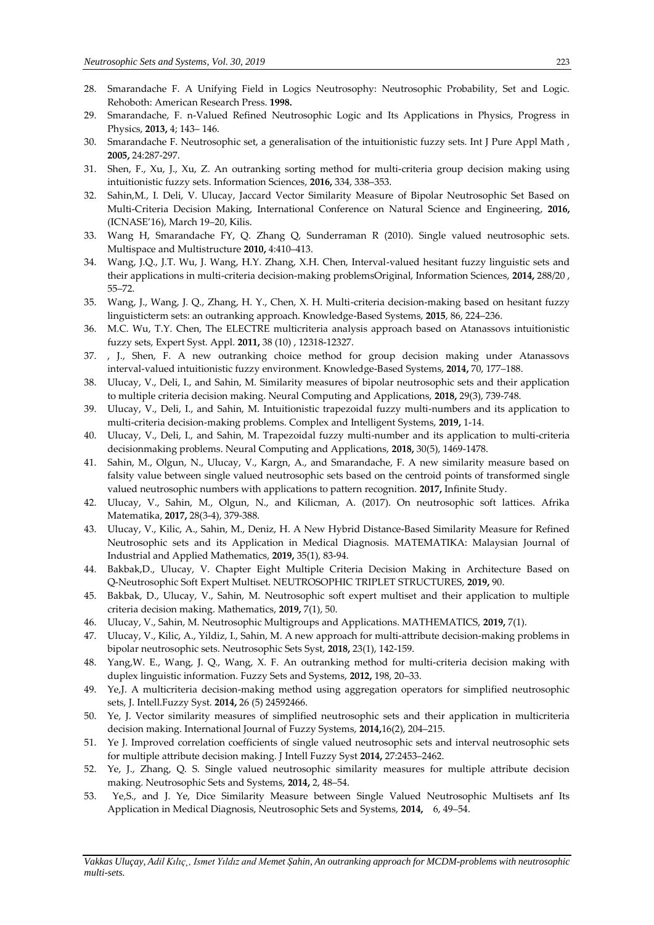- 28. Smarandache F. A Unifying Field in Logics Neutrosophy: Neutrosophic Probability, Set and Logic. Rehoboth: American Research Press. **1998.**
- 29. Smarandache, F. n-Valued Refined Neutrosophic Logic and Its Applications in Physics, Progress in Physics, **2013,** 4; 143– 146.
- 30. Smarandache F. Neutrosophic set, a generalisation of the intuitionistic fuzzy sets. Int J Pure Appl Math , **2005,** 24:287-297.
- 31. Shen, F., Xu, J., Xu, Z. An outranking sorting method for multi-criteria group decision making using intuitionistic fuzzy sets. Information Sciences, **2016,** 334, 338–353.
- 32. Sahin,M., I. Deli, V. Ulucay, Jaccard Vector Similarity Measure of Bipolar Neutrosophic Set Based on Multi-Criteria Decision Making, International Conference on Natural Science and Engineering, **2016,** (ICNASE'16), March 19–20, Kilis.
- 33. Wang H, Smarandache FY, Q. Zhang Q, Sunderraman R (2010). Single valued neutrosophic sets. Multispace and Multistructure **2010,** 4:410–413.
- 34. Wang, J.Q., J.T. Wu, J. Wang, H.Y. Zhang, X.H. Chen, Interval-valued hesitant fuzzy linguistic sets and their applications in multi-criteria decision-making problemsOriginal, Information Sciences, **2014,** 288/20 , 55–72.
- 35. Wang, J., Wang, J. Q., Zhang, H. Y., Chen, X. H. Multi-criteria decision-making based on hesitant fuzzy linguisticterm sets: an outranking approach. Knowledge-Based Systems, **2015**, 86, 224–236.
- 36. M.C. Wu, T.Y. Chen, The ELECTRE multicriteria analysis approach based on Atanassovs intuitionistic fuzzy sets, Expert Syst. Appl. **2011,** 38 (10) , 12318-12327.
- 37. , J., Shen, F. A new outranking choice method for group decision making under Atanassovs interval-valued intuitionistic fuzzy environment. Knowledge-Based Systems, **2014,** 70, 177–188.
- 38. Ulucay, V., Deli, I., and Sahin, M. Similarity measures of bipolar neutrosophic sets and their application to multiple criteria decision making. Neural Computing and Applications, **2018,** 29(3), 739-748.
- 39. Ulucay, V., Deli, I., and Sahin, M. Intuitionistic trapezoidal fuzzy multi-numbers and its application to multi-criteria decision-making problems. Complex and Intelligent Systems, **2019,** 1-14.
- 40. Ulucay, V., Deli, I., and Sahin, M. Trapezoidal fuzzy multi-number and its application to multi-criteria decisionmaking problems. Neural Computing and Applications, **2018,** 30(5), 1469-1478.
- 41. Sahin, M., Olgun, N., Ulucay, V., Kargn, A., and Smarandache, F. A new similarity measure based on falsity value between single valued neutrosophic sets based on the centroid points of transformed single valued neutrosophic numbers with applications to pattern recognition. **2017,** Infinite Study.
- 42. Ulucay, V., Sahin, M., Olgun, N., and Kilicman, A. (2017). On neutrosophic soft lattices. Afrika Matematika, **2017,** 28(3-4), 379-388.
- 43. Ulucay, V., Kilic, A., Sahin, M., Deniz, H. A New Hybrid Distance-Based Similarity Measure for Refined Neutrosophic sets and its Application in Medical Diagnosis. MATEMATIKA: Malaysian Journal of Industrial and Applied Mathematics, **2019,** 35(1), 83-94.
- 44. Bakbak,D., Ulucay, V. Chapter Eight Multiple Criteria Decision Making in Architecture Based on Q-Neutrosophic Soft Expert Multiset. NEUTROSOPHIC TRIPLET STRUCTURES, **2019,** 90.
- 45. Bakbak, D., Ulucay, V., Sahin, M. Neutrosophic soft expert multiset and their application to multiple criteria decision making. Mathematics, **2019,** 7(1), 50.
- 46. Ulucay, V., Sahin, M. Neutrosophic Multigroups and Applications. MATHEMATICS, **2019,** 7(1).
- 47. Ulucay, V., Kilic, A., Yildiz, I., Sahin, M. A new approach for multi-attribute decision-making problems in bipolar neutrosophic sets. Neutrosophic Sets Syst, **2018,** 23(1), 142-159.
- 48. Yang,W. E., Wang, J. Q., Wang, X. F. An outranking method for multi-criteria decision making with duplex linguistic information. Fuzzy Sets and Systems, **2012,** 198, 20–33.
- 49. Ye,J. A multicriteria decision-making method using aggregation operators for simplified neutrosophic sets, J. Intell.Fuzzy Syst. **2014,** 26 (5) 24592466.
- 50. Ye, J. Vector similarity measures of simplified neutrosophic sets and their application in multicriteria decision making. International Journal of Fuzzy Systems, **2014,**16(2), 204–215.
- 51. Ye J. Improved correlation coefficients of single valued neutrosophic sets and interval neutrosophic sets for multiple attribute decision making. J Intell Fuzzy Syst **2014,** 27:2453–2462.
- 52. Ye, J., Zhang, Q. S. Single valued neutrosophic similarity measures for multiple attribute decision making. Neutrosophic Sets and Systems, **2014,** 2, 48–54.
- 53. Ye,S., and J. Ye, Dice Similarity Measure between Single Valued Neutrosophic Multisets anf Its Application in Medical Diagnosis, Neutrosophic Sets and Systems, **2014,** 6, 49–54.